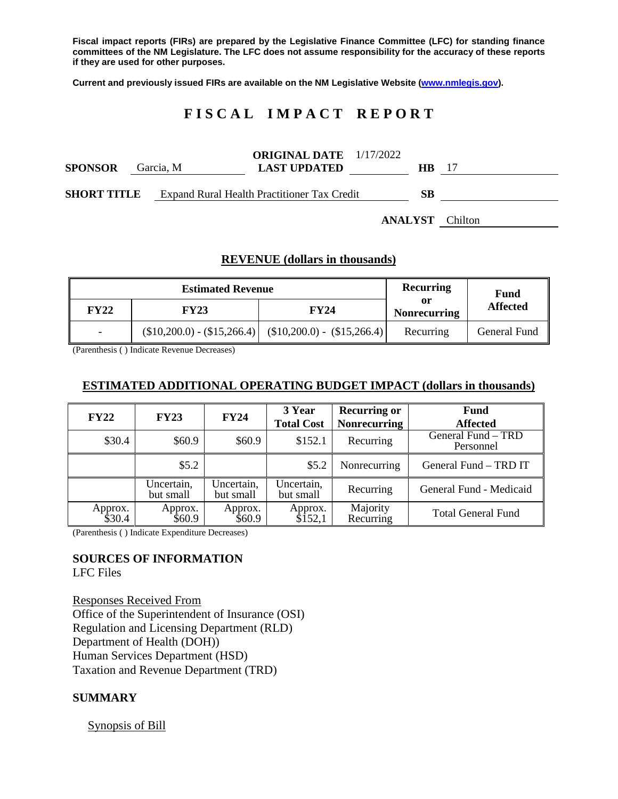**Fiscal impact reports (FIRs) are prepared by the Legislative Finance Committee (LFC) for standing finance committees of the NM Legislature. The LFC does not assume responsibility for the accuracy of these reports if they are used for other purposes.**

**Current and previously issued FIRs are available on the NM Legislative Website [\(www.nmlegis.gov\)](http://www.nmlegis.gov/).**

# **F I S C A L I M P A C T R E P O R T**

| <b>SPONSOR</b>     | Garcia. M | <b>ORIGINAL DATE</b> 1/17/2022<br><b>LAST UPDATED</b> |  | HB. | -17                    |
|--------------------|-----------|-------------------------------------------------------|--|-----|------------------------|
| <b>SHORT TITLE</b> |           | Expand Rural Health Practitioner Tax Credit           |  | SВ  |                        |
|                    |           |                                                       |  |     | <b>ANALYST</b> Chilton |

### **REVENUE (dollars in thousands)**

|                          | <b>Estimated Revenue</b>    | <b>Recurring</b>            | Fund                      |                 |
|--------------------------|-----------------------------|-----------------------------|---------------------------|-----------------|
| <b>FY22</b>              | <b>FY23</b>                 | <b>FY24</b>                 | or<br><b>Nonrecurring</b> | <b>Affected</b> |
| $\overline{\phantom{a}}$ | $($10,200.0) - ($15,266.4)$ | $($10,200.0) - ($15,266.4)$ | Recurring                 | General Fund    |

(Parenthesis ( ) Indicate Revenue Decreases)

### **ESTIMATED ADDITIONAL OPERATING BUDGET IMPACT (dollars in thousands)**

| <b>FY22</b>       | <b>FY23</b>             | <b>FY24</b>             | 3 Year<br><b>Total Cost</b> | <b>Recurring or</b><br><b>Nonrecurring</b> | Fund<br><b>Affected</b>         |
|-------------------|-------------------------|-------------------------|-----------------------------|--------------------------------------------|---------------------------------|
| \$30.4            | \$60.9                  | \$60.9                  | \$152.1                     | Recurring                                  | General Fund - TRD<br>Personnel |
|                   | \$5.2\$                 |                         | \$5.2                       | Nonrecurring                               | General Fund - TRD IT           |
|                   | Uncertain,<br>but small | Uncertain,<br>but small | Uncertain,<br>but small     | Recurring                                  | General Fund - Medicaid         |
| Approx.<br>\$30.4 | Approx.<br>\$60.9       | Approx.<br>\$60.9       | Approx.<br>\$Î52,1          | Majority<br>Recurring                      | <b>Total General Fund</b>       |

(Parenthesis ( ) Indicate Expenditure Decreases)

#### **SOURCES OF INFORMATION**

LFC Files

Responses Received From Office of the Superintendent of Insurance (OSI) Regulation and Licensing Department (RLD) Department of Health (DOH)) Human Services Department (HSD) Taxation and Revenue Department (TRD)

### **SUMMARY**

Synopsis of Bill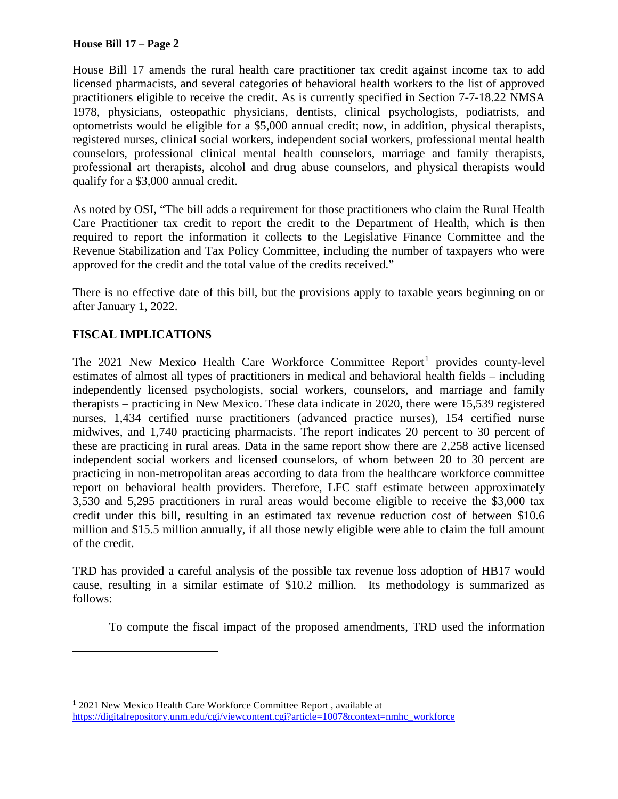### **House Bill 17 – Page 2**

House Bill 17 amends the rural health care practitioner tax credit against income tax to add licensed pharmacists, and several categories of behavioral health workers to the list of approved practitioners eligible to receive the credit. As is currently specified in Section 7-7-18.22 NMSA 1978, physicians, osteopathic physicians, dentists, clinical psychologists, podiatrists, and optometrists would be eligible for a \$5,000 annual credit; now, in addition, physical therapists, registered nurses, clinical social workers, independent social workers, professional mental health counselors, professional clinical mental health counselors, marriage and family therapists, professional art therapists, alcohol and drug abuse counselors, and physical therapists would qualify for a \$3,000 annual credit.

As noted by OSI, "The bill adds a requirement for those practitioners who claim the Rural Health Care Practitioner tax credit to report the credit to the Department of Health, which is then required to report the information it collects to the Legislative Finance Committee and the Revenue Stabilization and Tax Policy Committee, including the number of taxpayers who were approved for the credit and the total value of the credits received."

There is no effective date of this bill, but the provisions apply to taxable years beginning on or after January 1, 2022.

# **FISCAL IMPLICATIONS**

 $\overline{a}$ 

The  $2021$  $2021$  New Mexico Health Care Workforce Committee Report<sup>1</sup> provides county-level estimates of almost all types of practitioners in medical and behavioral health fields – including independently licensed psychologists, social workers, counselors, and marriage and family therapists – practicing in New Mexico. These data indicate in 2020, there were 15,539 registered nurses, 1,434 certified nurse practitioners (advanced practice nurses), 154 certified nurse midwives, and 1,740 practicing pharmacists. The report indicates 20 percent to 30 percent of these are practicing in rural areas. Data in the same report show there are 2,258 active licensed independent social workers and licensed counselors, of whom between 20 to 30 percent are practicing in non-metropolitan areas according to data from the healthcare workforce committee report on behavioral health providers. Therefore, LFC staff estimate between approximately 3,530 and 5,295 practitioners in rural areas would become eligible to receive the \$3,000 tax credit under this bill, resulting in an estimated tax revenue reduction cost of between \$10.6 million and \$15.5 million annually, if all those newly eligible were able to claim the full amount of the credit.

TRD has provided a careful analysis of the possible tax revenue loss adoption of HB17 would cause, resulting in a similar estimate of \$10.2 million. Its methodology is summarized as follows:

To compute the fiscal impact of the proposed amendments, TRD used the information

<span id="page-1-0"></span><sup>&</sup>lt;sup>1</sup> 2021 New Mexico Health Care Workforce Committee Report, available at [https://digitalrepository.unm.edu/cgi/viewcontent.cgi?article=1007&context=nmhc\\_workforce](https://digitalrepository.unm.edu/cgi/viewcontent.cgi?article=1007&context=nmhc_workforce)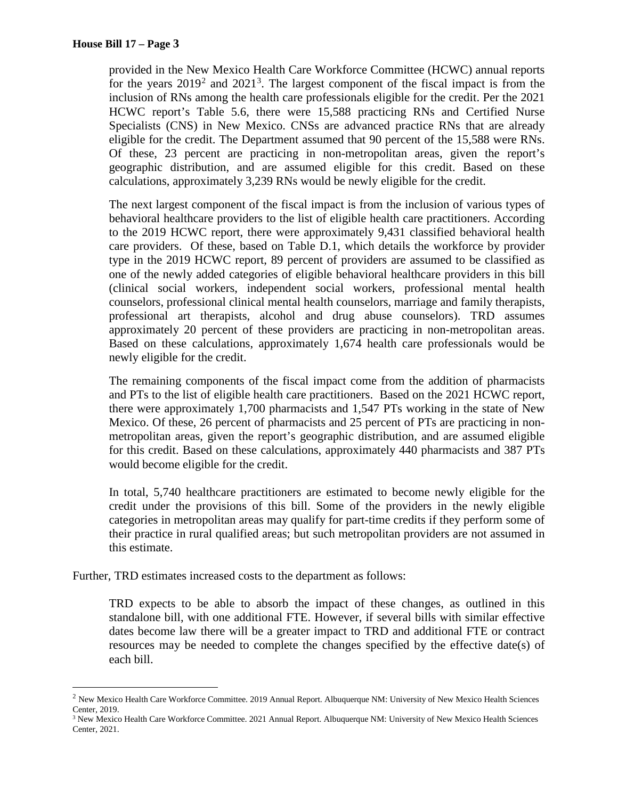provided in the New Mexico Health Care Workforce Committee (HCWC) annual reports for the years  $2019^2$  $2019^2$  and  $2021^3$  $2021^3$ . The largest component of the fiscal impact is from the inclusion of RNs among the health care professionals eligible for the credit. Per the 2021 HCWC report's Table 5.6, there were 15,588 practicing RNs and Certified Nurse Specialists (CNS) in New Mexico. CNSs are advanced practice RNs that are already eligible for the credit. The Department assumed that 90 percent of the 15,588 were RNs. Of these, 23 percent are practicing in non-metropolitan areas, given the report's geographic distribution, and are assumed eligible for this credit. Based on these calculations, approximately 3,239 RNs would be newly eligible for the credit.

The next largest component of the fiscal impact is from the inclusion of various types of behavioral healthcare providers to the list of eligible health care practitioners. According to the 2019 HCWC report, there were approximately 9,431 classified behavioral health care providers. Of these, based on Table D.1, which details the workforce by provider type in the 2019 HCWC report, 89 percent of providers are assumed to be classified as one of the newly added categories of eligible behavioral healthcare providers in this bill (clinical social workers, independent social workers, professional mental health counselors, professional clinical mental health counselors, marriage and family therapists, professional art therapists, alcohol and drug abuse counselors). TRD assumes approximately 20 percent of these providers are practicing in non-metropolitan areas. Based on these calculations, approximately 1,674 health care professionals would be newly eligible for the credit.

The remaining components of the fiscal impact come from the addition of pharmacists and PTs to the list of eligible health care practitioners. Based on the 2021 HCWC report, there were approximately 1,700 pharmacists and 1,547 PTs working in the state of New Mexico. Of these, 26 percent of pharmacists and 25 percent of PTs are practicing in nonmetropolitan areas, given the report's geographic distribution, and are assumed eligible for this credit. Based on these calculations, approximately 440 pharmacists and 387 PTs would become eligible for the credit.

In total, 5,740 healthcare practitioners are estimated to become newly eligible for the credit under the provisions of this bill. Some of the providers in the newly eligible categories in metropolitan areas may qualify for part-time credits if they perform some of their practice in rural qualified areas; but such metropolitan providers are not assumed in this estimate.

Further, TRD estimates increased costs to the department as follows:

TRD expects to be able to absorb the impact of these changes, as outlined in this standalone bill, with one additional FTE. However, if several bills with similar effective dates become law there will be a greater impact to TRD and additional FTE or contract resources may be needed to complete the changes specified by the effective date(s) of each bill.

<span id="page-2-0"></span> <sup>2</sup> New Mexico Health Care Workforce Committee. 2019 Annual Report. Albuquerque NM: University of New Mexico Health Sciences Center, 2019.

<span id="page-2-1"></span><sup>&</sup>lt;sup>3</sup> New Mexico Health Care Workforce Committee. 2021 Annual Report. Albuquerque NM: University of New Mexico Health Sciences Center, 2021.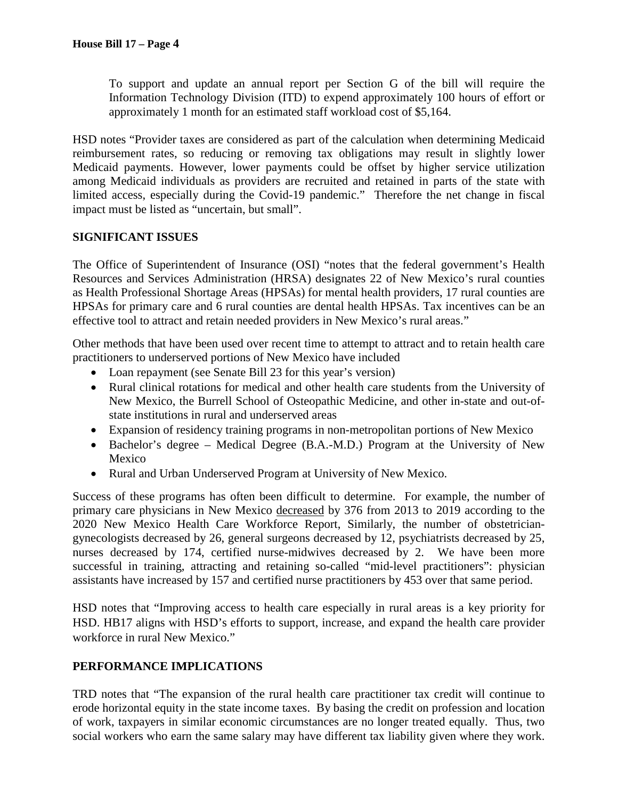To support and update an annual report per Section G of the bill will require the Information Technology Division (ITD) to expend approximately 100 hours of effort or approximately 1 month for an estimated staff workload cost of \$5,164.

HSD notes "Provider taxes are considered as part of the calculation when determining Medicaid reimbursement rates, so reducing or removing tax obligations may result in slightly lower Medicaid payments. However, lower payments could be offset by higher service utilization among Medicaid individuals as providers are recruited and retained in parts of the state with limited access, especially during the Covid-19 pandemic." Therefore the net change in fiscal impact must be listed as "uncertain, but small".

# **SIGNIFICANT ISSUES**

The Office of Superintendent of Insurance (OSI) "notes that the federal government's Health Resources and Services Administration (HRSA) designates 22 of New Mexico's rural counties as Health Professional Shortage Areas (HPSAs) for mental health providers, 17 rural counties are HPSAs for primary care and 6 rural counties are dental health HPSAs. Tax incentives can be an effective tool to attract and retain needed providers in New Mexico's rural areas."

Other methods that have been used over recent time to attempt to attract and to retain health care practitioners to underserved portions of New Mexico have included

- Loan repayment (see Senate Bill 23 for this year's version)
- Rural clinical rotations for medical and other health care students from the University of New Mexico, the Burrell School of Osteopathic Medicine, and other in-state and out-ofstate institutions in rural and underserved areas
- Expansion of residency training programs in non-metropolitan portions of New Mexico
- Bachelor's degree Medical Degree (B.A.-M.D.) Program at the University of New Mexico
- Rural and Urban Underserved Program at University of New Mexico.

Success of these programs has often been difficult to determine. For example, the number of primary care physicians in New Mexico decreased by 376 from 2013 to 2019 according to the 2020 New Mexico Health Care Workforce Report, Similarly, the number of obstetriciangynecologists decreased by 26, general surgeons decreased by 12, psychiatrists decreased by 25, nurses decreased by 174, certified nurse-midwives decreased by 2. We have been more successful in training, attracting and retaining so-called "mid-level practitioners": physician assistants have increased by 157 and certified nurse practitioners by 453 over that same period.

HSD notes that "Improving access to health care especially in rural areas is a key priority for HSD. HB17 aligns with HSD's efforts to support, increase, and expand the health care provider workforce in rural New Mexico."

# **PERFORMANCE IMPLICATIONS**

TRD notes that "The expansion of the rural health care practitioner tax credit will continue to erode horizontal equity in the state income taxes. By basing the credit on profession and location of work, taxpayers in similar economic circumstances are no longer treated equally. Thus, two social workers who earn the same salary may have different tax liability given where they work.